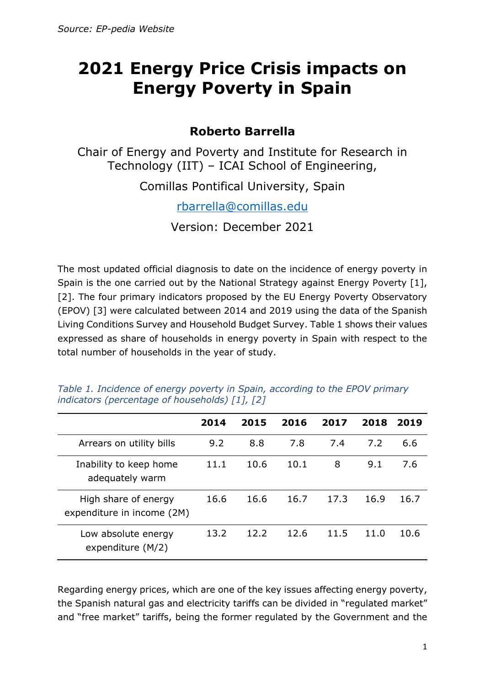# **2021 Energy Price Crisis impacts on Energy Poverty in Spain**

#### **Roberto Barrella**

Chair of Energy and Poverty and Institute for Research in Technology (IIT) – ICAI School of Engineering,

Comillas Pontifical University, Spain

[rbarrella@comillas.edu](mailto:rbarrella@comillas.edu)

Version: December 2021

The most updated official diagnosis to date on the incidence of energy poverty in Spain is the one carried out by the National Strategy against Energy Poverty [1], [2]. The four primary indicators proposed by the EU Energy Poverty Observatory (EPOV) [3] were calculated between 2014 and 2019 using the data of the Spanish Living Conditions Survey and Household Budget Survey. Table 1 shows their values expressed as share of households in energy poverty in Spain with respect to the total number of households in the year of study.

|                                                    | 2014 | 2015 | 2016 | 2017 | 2018 | 2019 |
|----------------------------------------------------|------|------|------|------|------|------|
| Arrears on utility bills                           | 9.2  | 8.8  | 7.8  | 7.4  | 7.2  | 6.6  |
| Inability to keep home<br>adequately warm          | 11.1 | 10.6 | 10.1 | 8    | 9.1  | 7.6  |
| High share of energy<br>expenditure in income (2M) | 16.6 | 16.6 | 16.7 | 17.3 | 16.9 | 16.7 |
| Low absolute energy<br>expenditure (M/2)           | 13.2 | 12.2 | 12.6 | 11.5 | 11.0 | 10.6 |

*Table 1. Incidence of energy poverty in Spain, according to the EPOV primary indicators (percentage of households) [1], [2]*

Regarding energy prices, which are one of the key issues affecting energy poverty, the Spanish natural gas and electricity tariffs can be divided in "regulated market" and "free market" tariffs, being the former regulated by the Government and the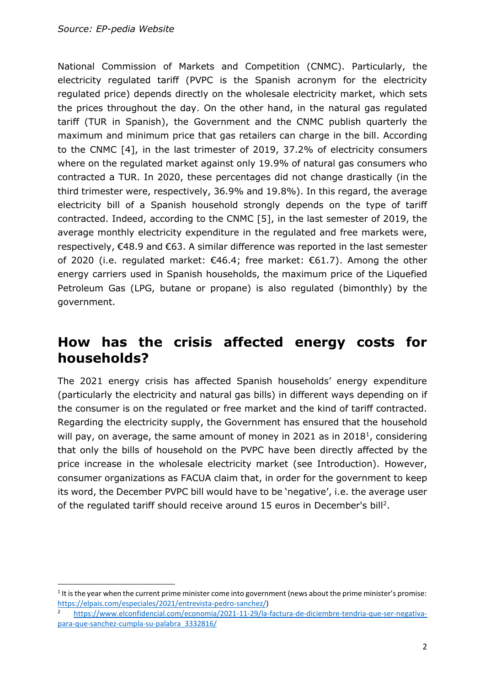National Commission of Markets and Competition (CNMC). Particularly, the electricity regulated tariff (PVPC is the Spanish acronym for the electricity regulated price) depends directly on the wholesale electricity market, which sets the prices throughout the day. On the other hand, in the natural gas regulated tariff (TUR in Spanish), the Government and the CNMC publish quarterly the maximum and minimum price that gas retailers can charge in the bill. According to the CNMC [4], in the last trimester of 2019, 37.2% of electricity consumers where on the regulated market against only 19.9% of natural gas consumers who contracted a TUR. In 2020, these percentages did not change drastically (in the third trimester were, respectively, 36.9% and 19.8%). In this regard, the average electricity bill of a Spanish household strongly depends on the type of tariff contracted. Indeed, according to the CNMC [5], in the last semester of 2019, the average monthly electricity expenditure in the regulated and free markets were, respectively, €48.9 and €63. A similar difference was reported in the last semester of 2020 (i.e. regulated market: €46.4; free market: €61.7). Among the other energy carriers used in Spanish households, the maximum price of the Liquefied Petroleum Gas (LPG, butane or propane) is also regulated (bimonthly) by the government.

#### **How has the crisis affected energy costs for households?**

The 2021 energy crisis has affected Spanish households' energy expenditure (particularly the electricity and natural gas bills) in different ways depending on if the consumer is on the regulated or free market and the kind of tariff contracted. Regarding the electricity supply, the Government has ensured that the household will pay, on average, the same amount of money in 2021 as in 2018<sup>1</sup>, considering that only the bills of household on the PVPC have been directly affected by the price increase in the wholesale electricity market (see Introduction). However, consumer organizations as FACUA claim that, in order for the government to keep its word, the December PVPC bill would have to be 'negative', i.e. the average user of the regulated tariff should receive around 15 euros in December's bill<sup>2</sup>.

<sup>&</sup>lt;sup>1</sup> It is the year when the current prime minister come into government (news about the prime minister's promise: [https://elpais.com/especiales/2021/entrevista-pedro-sanchez/\)](https://elpais.com/especiales/2021/entrevista-pedro-sanchez/)

<sup>2</sup> [https://www.elconfidencial.com/economia/2021-11-29/la-factura-de-diciembre-tendria-que-ser-negativa](https://www.elconfidencial.com/economia/2021-11-29/la-factura-de-diciembre-tendria-que-ser-negativa-para-que-sanchez-cumpla-su-palabra_3332816/)[para-que-sanchez-cumpla-su-palabra\\_3332816/](https://www.elconfidencial.com/economia/2021-11-29/la-factura-de-diciembre-tendria-que-ser-negativa-para-que-sanchez-cumpla-su-palabra_3332816/)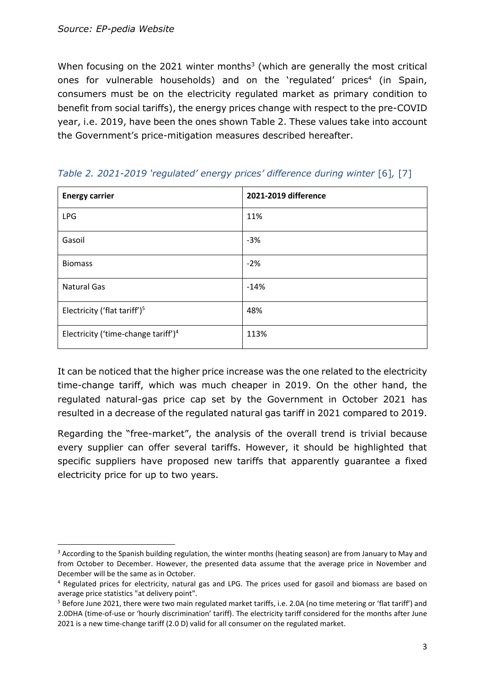When focusing on the 2021 winter months<sup>3</sup> (which are generally the most critical ones for vulnerable households) and on the 'regulated' prices<sup>4</sup> (in Spain, consumers must be on the electricity regulated market as primary condition to benefit from social tariffs), the energy prices change with respect to the pre-COVID year, i.e. 2019, have been the ones shown Table 2. These values take into account the Government's price-mitigation measures described hereafter.

| <b>Energy carrier</b>                           | 2021-2019 difference |
|-------------------------------------------------|----------------------|
| <b>LPG</b>                                      | 11%                  |
| Gasoil                                          | $-3%$                |
| <b>Biomass</b>                                  | $-2%$                |
| <b>Natural Gas</b>                              | $-14%$               |
| Electricity ('flat tariff') <sup>5</sup>        | 48%                  |
| Electricity ('time-change tariff') <sup>4</sup> | 113%                 |

It can be noticed that the higher price increase was the one related to the electricity time-change tariff, which was much cheaper in 2019. On the other hand, the regulated natural-gas price cap set by the Government in October 2021 has resulted in a decrease of the regulated natural gas tariff in 2021 compared to 2019.

Regarding the "free-market", the analysis of the overall trend is trivial because every supplier can offer several tariffs. However, it should be highlighted that specific suppliers have proposed new tariffs that apparently guarantee a fixed electricity price for up to two years.

<sup>&</sup>lt;sup>3</sup> According to the Spanish building regulation, the winter months (heating season) are from January to May and from October to December. However, the presented data assume that the average price in November and December will be the same as in October.

<sup>4</sup> Regulated prices for electricity, natural gas and LPG. The prices used for gasoil and biomass are based on average price statistics "at delivery point".

<sup>5</sup> Before June 2021, there were two main regulated market tariffs, i.e. 2.0A (no time metering or 'flat tariff') and 2.0DHA (time-of-use or 'hourly discrimination' tariff). The electricity tariff considered for the months after June 2021 is a new time-change tariff (2.0 D) valid for all consumer on the regulated market.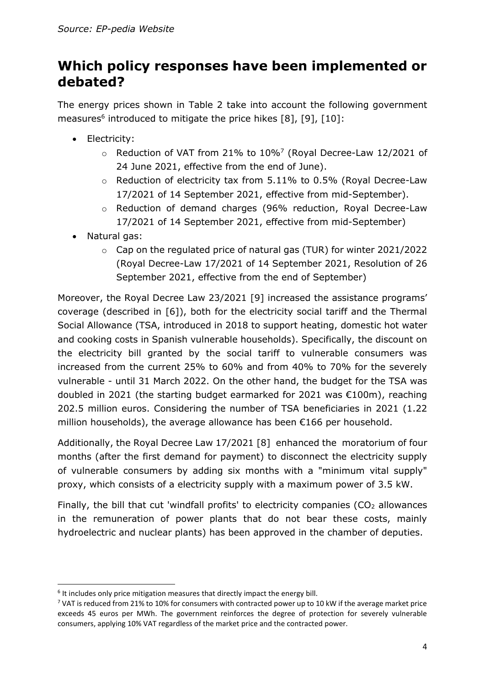#### **Which policy responses have been implemented or debated?**

The energy prices shown in Table 2 take into account the following government measures<sup>6</sup> introduced to mitigate the price hikes  $[8]$ ,  $[9]$ ,  $[10]$ :

- Electricity:
	- $\circ$  Reduction of VAT from 21% to 10%<sup>7</sup> (Royal Decree-Law 12/2021 of 24 June 2021, effective from the end of June).
	- o Reduction of electricity tax from 5.11% to 0.5% (Royal Decree-Law 17/2021 of 14 September 2021, effective from mid-September).
	- o Reduction of demand charges (96% reduction, Royal Decree-Law 17/2021 of 14 September 2021, effective from mid-September)
- Natural gas:
	- o Cap on the regulated price of natural gas (TUR) for winter 2021/2022 (Royal Decree-Law 17/2021 of 14 September 2021, Resolution of 26 September 2021, effective from the end of September)

Moreover, the Royal Decree Law 23/2021 [9] increased the assistance programs' coverage (described in [6]), both for the electricity social tariff and the Thermal Social Allowance (TSA, introduced in 2018 to support heating, domestic hot water and cooking costs in Spanish vulnerable households). Specifically, the discount on the electricity bill granted by the social tariff to vulnerable consumers was increased from the current 25% to 60% and from 40% to 70% for the severely vulnerable - until 31 March 2022. On the other hand, the budget for the TSA was doubled in 2021 (the starting budget earmarked for 2021 was €100m), reaching 202.5 million euros. Considering the number of TSA beneficiaries in 2021 (1.22 million households), the average allowance has been €166 per household.

Additionally, the Royal Decree Law 17/2021 [8] enhanced the moratorium of four months (after the first demand for payment) to disconnect the electricity supply of vulnerable consumers by adding six months with a "minimum vital supply" proxy, which consists of a electricity supply with a maximum power of 3.5 kW.

Finally, the bill that cut 'windfall profits' to electricity companies  $(CO<sub>2</sub>$  allowances in the remuneration of power plants that do not bear these costs, mainly hydroelectric and nuclear plants) has been approved in the chamber of deputies.

 $6$  It includes only price mitigation measures that directly impact the energy bill.

<sup>7</sup> VAT is reduced from 21% to 10% for consumers with contracted power up to 10 kW if the average market price exceeds 45 euros per MWh. The government reinforces the degree of protection for severely vulnerable consumers, applying 10% VAT regardless of the market price and the contracted power.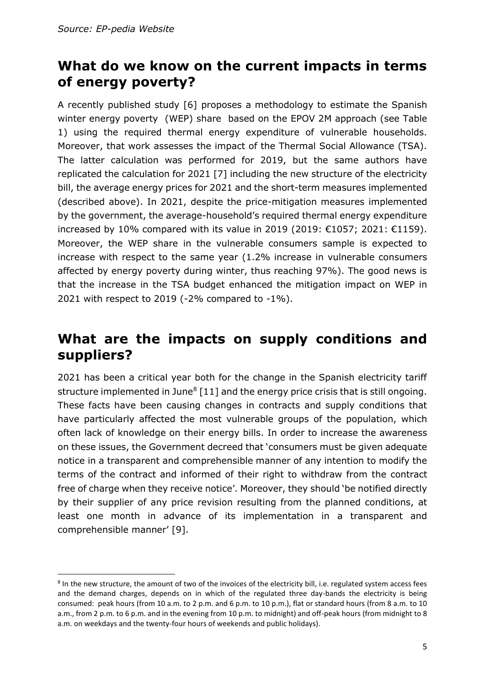### **What do we know on the current impacts in terms of energy poverty?**

A recently published study [6] proposes a methodology to estimate the Spanish winter energy poverty (WEP) share based on the EPOV 2M approach (see Table 1) using the required thermal energy expenditure of vulnerable households. Moreover, that work assesses the impact of the Thermal Social Allowance (TSA). The latter calculation was performed for 2019, but the same authors have replicated the calculation for 2021 [7] including the new structure of the electricity bill, the average energy prices for 2021 and the short-term measures implemented (described above). In 2021, despite the price-mitigation measures implemented by the government, the average-household's required thermal energy expenditure increased by 10% compared with its value in 2019 (2019: €1057; 2021: €1159). Moreover, the WEP share in the vulnerable consumers sample is expected to increase with respect to the same year (1.2% increase in vulnerable consumers affected by energy poverty during winter, thus reaching 97%). The good news is that the increase in the TSA budget enhanced the mitigation impact on WEP in 2021 with respect to 2019 (-2% compared to -1%).

#### **What are the impacts on supply conditions and suppliers?**

2021 has been a critical year both for the change in the Spanish electricity tariff structure implemented in June<sup>8</sup> [11] and the energy price crisis that is still ongoing. These facts have been causing changes in contracts and supply conditions that have particularly affected the most vulnerable groups of the population, which often lack of knowledge on their energy bills. In order to increase the awareness on these issues, the Government decreed that 'consumers must be given adequate notice in a transparent and comprehensible manner of any intention to modify the terms of the contract and informed of their right to withdraw from the contract free of charge when they receive notice'. Moreover, they should 'be notified directly by their supplier of any price revision resulting from the planned conditions, at least one month in advance of its implementation in a transparent and comprehensible manner' [9].

<sup>&</sup>lt;sup>8</sup> In the new structure, the amount of two of the invoices of the electricity bill, i.e. regulated system access fees and the demand charges, depends on in which of the regulated three day-bands the electricity is being consumed: peak hours (from 10 a.m. to 2 p.m. and 6 p.m. to 10 p.m.), flat or standard hours (from 8 a.m. to 10 a.m., from 2 p.m. to 6 p.m. and in the evening from 10 p.m. to midnight) and off-peak hours (from midnight to 8 a.m. on weekdays and the twenty-four hours of weekends and public holidays).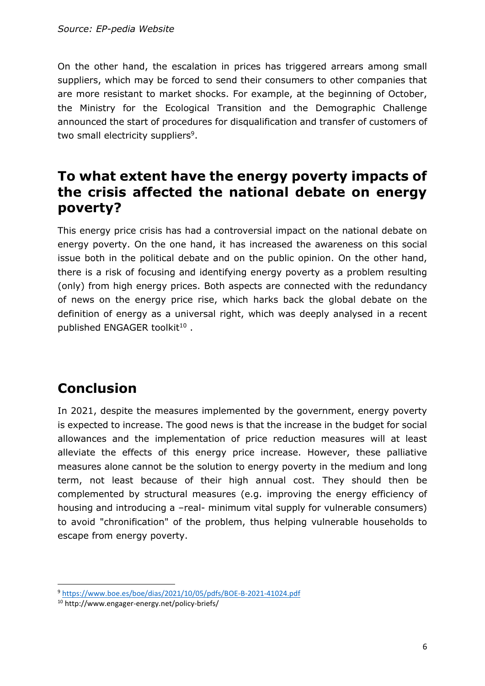On the other hand, the escalation in prices has triggered arrears among small suppliers, which may be forced to send their consumers to other companies that are more resistant to market shocks. For example, at the beginning of October, the Ministry for the Ecological Transition and the Demographic Challenge announced the start of procedures for disqualification and transfer of customers of two small electricity suppliers<sup>9</sup>.

#### **To what extent have the energy poverty impacts of the crisis affected the national debate on energy poverty?**

This energy price crisis has had a controversial impact on the national debate on energy poverty. On the one hand, it has increased the awareness on this social issue both in the political debate and on the public opinion. On the other hand, there is a risk of focusing and identifying energy poverty as a problem resulting (only) from high energy prices. Both aspects are connected with the redundancy of news on the energy price rise, which harks back the global debate on the definition of energy as a universal right, which was deeply analysed in a recent published ENGAGER toolkit<sup>10</sup>.

# **Conclusion**

In 2021, despite the measures implemented by the government, energy poverty is expected to increase. The good news is that the increase in the budget for social allowances and the implementation of price reduction measures will at least alleviate the effects of this energy price increase. However, these palliative measures alone cannot be the solution to energy poverty in the medium and long term, not least because of their high annual cost. They should then be complemented by structural measures (e.g. improving the energy efficiency of housing and introducing a –real- minimum vital supply for vulnerable consumers) to avoid "chronification" of the problem, thus helping vulnerable households to escape from energy poverty.

<sup>9</sup> <https://www.boe.es/boe/dias/2021/10/05/pdfs/BOE-B-2021-41024.pdf>

<sup>10</sup> <http://www.engager-energy.net/policy-briefs/>